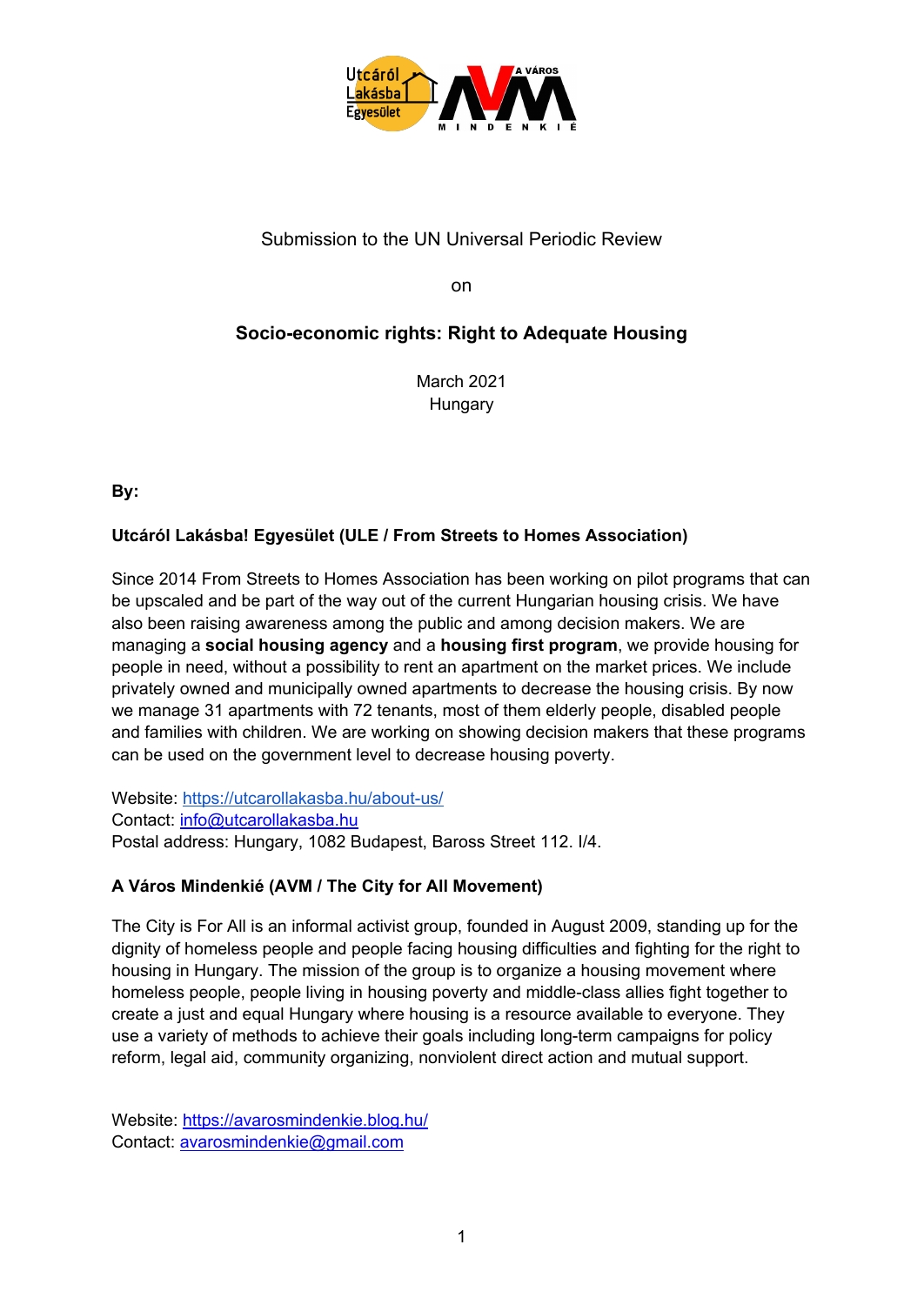

## Submission to the UN Universal Periodic Review

on

# **Socio-economic rights: Right to Adequate Housing**

March 2021 **Hungary** 

**By:**

## **Utcáról Lakásba! Egyesület (ULE / From Streets to Homes Association)**

Since 2014 From Streets to Homes Association has been working on pilot programs that can be upscaled and be part of the way out of the current Hungarian housing crisis. We have also been raising awareness among the public and among decision makers. We are managing <sup>a</sup> **social housing agency** and <sup>a</sup> **housing first program**, we provide housing for people in need, without <sup>a</sup> possibility to rent an apartment on the market prices. We include privately owned and municipally owned apartments to decrease the housing crisis. By now we manage 31 apartments with 72 tenants, most of them elderly people, disabled people and families with children. We are working on showing decision makers that these programs can be used on the government level to decrease housing poverty.

Website: <https://utcarollakasba.hu/about-us/> Contact: [info@utcarollakasba.hu](mailto:info@utcarollakasba.hu) Postal address: Hungary, 1082 Budapest, Baross Street 112. I/4.

#### **A Város Mindenkié (AVM / The City for All Movement)**

The City is For All is an informal activist group, founded in August 2009, standing up for the dignity of homeless people and people facing housing difficulties and fighting for the right to housing in Hungary. The mission of the group is to organize <sup>a</sup> housing movement where homeless people, people living in housing poverty and middle-class allies fight together to create <sup>a</sup> just and equal Hungary where housing is <sup>a</sup> resource available to everyone. They use <sup>a</sup> variety of methods to achieve their goals including long-term campaigns for policy reform, legal aid, community organizing, nonviolent direct action and mutual support.

Website: <https://avarosmindenkie.blog.hu/> Contact: [avarosmindenkie@gmail.com](mailto:avarosmindenkie@gmail.com)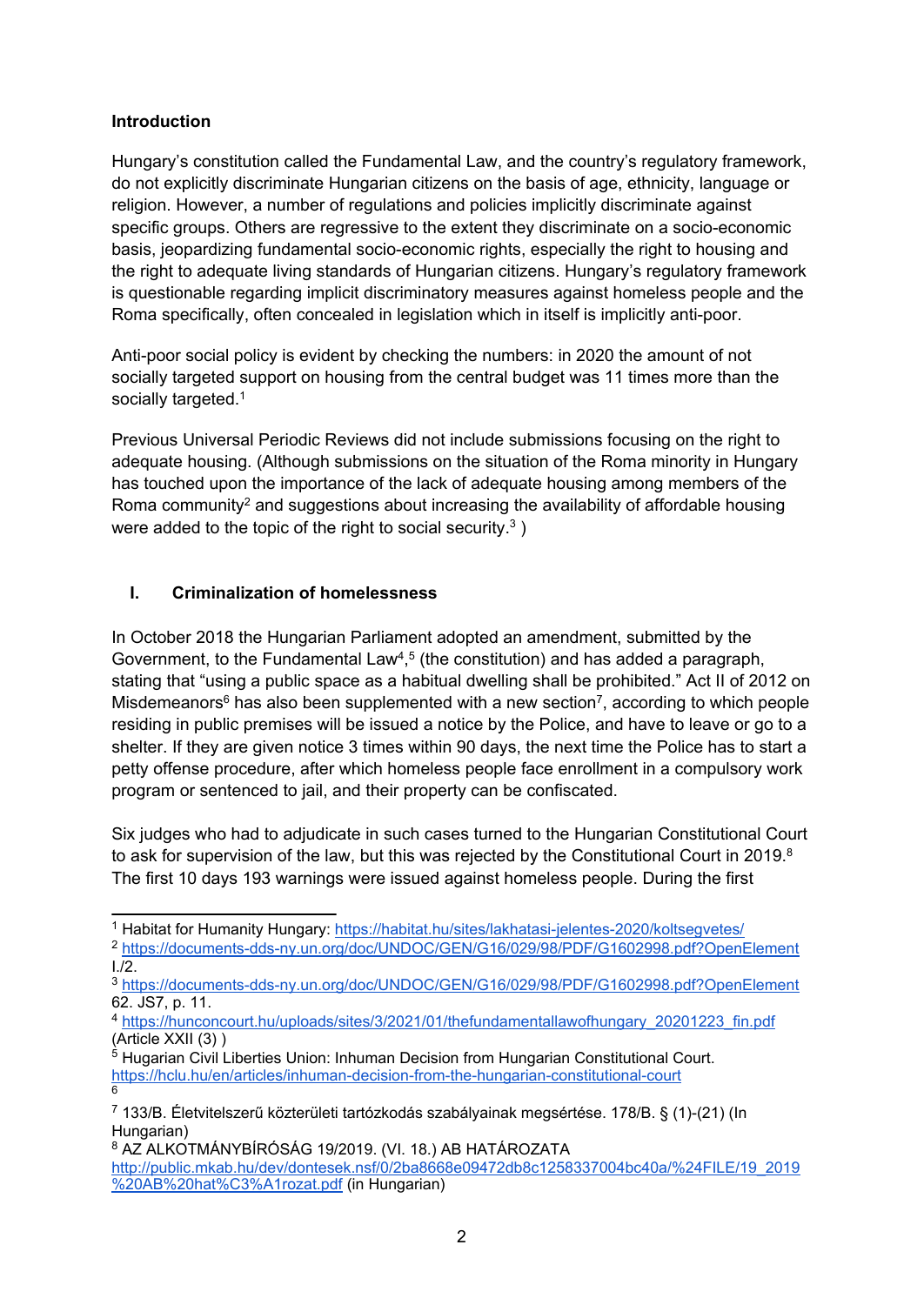#### **Introduction**

Hungary'<sup>s</sup> constitution called the Fundamental Law, and the country'<sup>s</sup> regulatory framework, do not explicitly discriminate Hungarian citizens on the basis of age, ethnicity, language or religion. However, <sup>a</sup> number of regulations and policies implicitly discriminate against specific groups. Others are regressive to the extent they discriminate on <sup>a</sup> socio-economic basis, jeopardizing fundamental socio-economic rights, especially the right to housing and the right to adequate living standards of Hungarian citizens. Hungary'<sup>s</sup> regulatory framework is questionable regarding implicit discriminatory measures against homeless people and the Roma specifically, often concealed in legislation which in itself is implicitly anti-poor.

Anti-poor social policy is evident by checking the numbers: in 2020 the amount of not socially targeted support on housing from the central budget was 11 times more than the socially targeted. 1

Previous Universal Periodic Reviews did not include submissions focusing on the right to adequate housing. (Although submissions on the situation of the Roma minority in Hungary has touched upon the importance of the lack of adequate housing among members of the Roma community<sup>2</sup> and suggestions about increasing the availability of affordable housing were added to the topic of the right to social security. $^3$  )

## **I. Criminalization of homelessness**

In October 2018 the Hungarian Parliament adopted an amendment, submitted by the Government, to the Fundamental Law $^{\rm 4,5}$  (the constitution) and has added a paragraph, stating that "using <sup>a</sup> public space as <sup>a</sup> habitual dwelling shall be prohibited." Act II of 2012 on Misdemeanors $^6$  has also been supplemented with a new section<sup>7</sup>, according to which people residing in public premises will be issued <sup>a</sup> notice by the Police, and have to leave or go to <sup>a</sup> shelter. If they are given notice 3 times within 90 days, the next time the Police has to start <sup>a</sup> petty offense procedure, after which homeless people face enrollment in <sup>a</sup> compulsory work program or sentenced to jail, and their property can be confiscated.

Six judges who had to adjudicate in such cases turned to the Hungarian Constitutional Court to ask for supervision of the law, but this was rejected by the Constitutional Court in 2019.<sup>8</sup> The first 10 days 193 warnings were issued against homeless people. During the first

<sup>1</sup> Habitat for Humanity Hungary: <https://habitat.hu/sites/lakhatasi-jelentes-2020/koltsegvetes/>

<sup>5</sup> Hugarian Civil Liberties Union: Inhuman Decision from Hungarian Constitutional Court. <https://hclu.hu/en/articles/inhuman-decision-from-the-hungarian-constitutional-court> 6

8 AZ ALKOTMÁNYBÍRÓSÁG 19/2019. (VI. 18.) AB HATÁROZATA [http://public.mkab.hu/dev/dontesek.nsf/0/2ba8668e09472db8c1258337004bc40a/%24FILE/19\\_2019](http://public.mkab.hu/dev/dontesek.nsf/0/2ba8668e09472db8c1258337004bc40a/%24FILE/19_2019%20AB%20hat%C3%A1rozat.pdf) [%20AB%20hat%C3%A1rozat.pdf](http://public.mkab.hu/dev/dontesek.nsf/0/2ba8668e09472db8c1258337004bc40a/%24FILE/19_2019%20AB%20hat%C3%A1rozat.pdf) (in Hungarian)

<sup>2</sup> <https://documents-dds-ny.un.org/doc/UNDOC/GEN/G16/029/98/PDF/G1602998.pdf?OpenElement>  $1.12.$ 

<sup>3</sup> <https://documents-dds-ny.un.org/doc/UNDOC/GEN/G16/029/98/PDF/G1602998.pdf?OpenElement> 62. JS7, p. 11.

<sup>4</sup> [https://hunconcourt.hu/uploads/sites/3/2021/01/thefundamentallawofhungary\\_20201223\\_fin.pdf](https://hunconcourt.hu/uploads/sites/3/2021/01/thefundamentallawofhungary_20201223_fin.pdf) (Article XXII (3) )

<sup>7</sup> 133/B. Életvitelszer<sup>ű</sup> közterületi tartózkodás szabályainak megsértése. 178/B. § (1)-(21) (In Hungarian)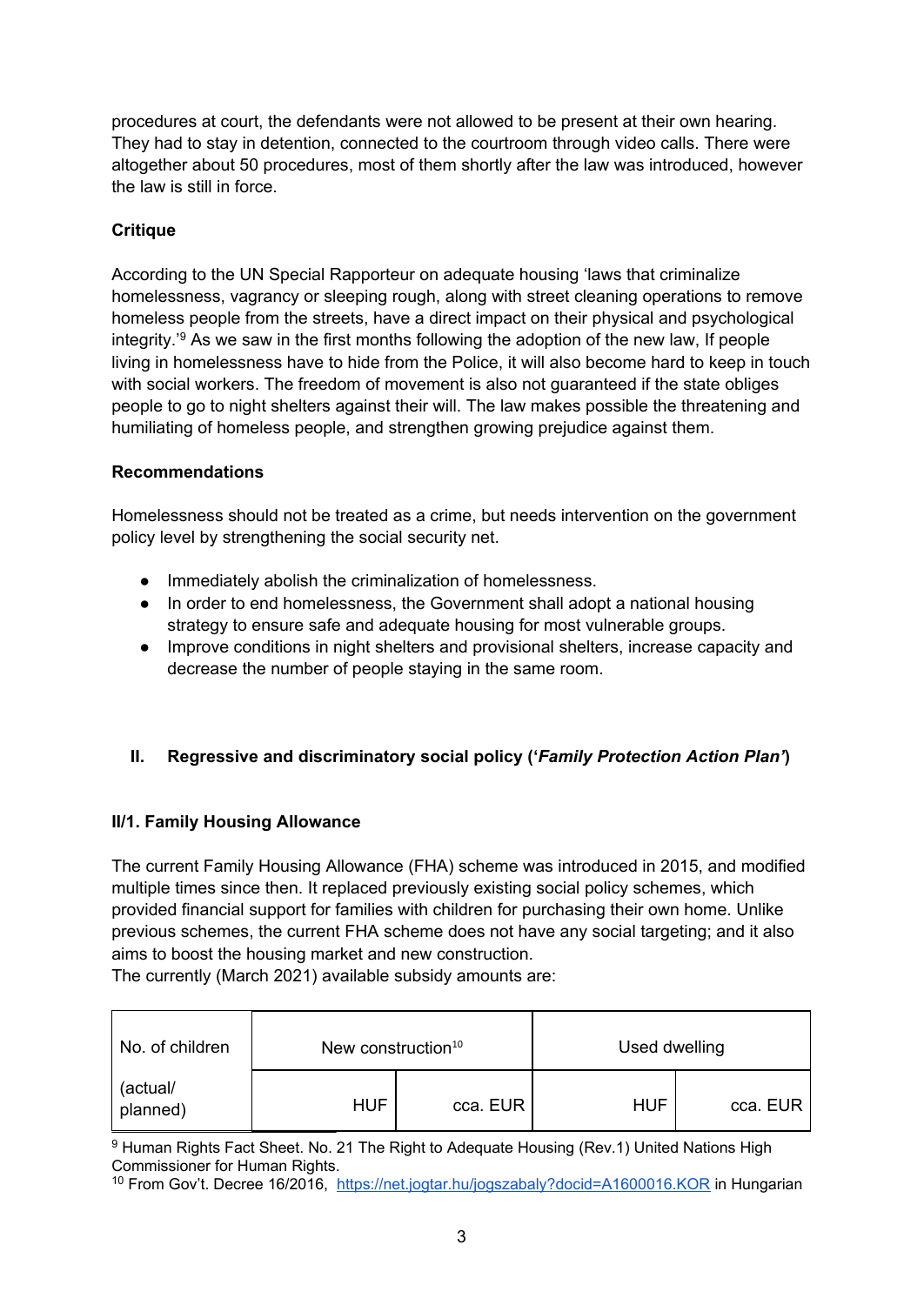procedures at court, the defendants were not allowed to be present at their own hearing. They had to stay in detention, connected to the courtroom through video calls. There were altogether about 50 procedures, most of them shortly after the law was introduced, however the law is still in force.

## **Critique**

According to the UN Special Rapporteur on adequate housing 'laws that criminalize homelessness, vagrancy or sleeping rough, along with street cleaning operations to remove homeless people from the streets, have <sup>a</sup> direct impact on their physical and psychological integrity.'<sup>9</sup> As we saw in the first months following the adoption of the new law, If people living in homelessness have to hide from the Police, it will also become hard to keep in touch with social workers. The freedom of movement is also not guaranteed if the state obliges people to go to night shelters against their will. The law makes possible the threatening and humiliating of homeless people, and strengthen growing prejudice against them.

#### **Recommendations**

Homelessness should not be treated as <sup>a</sup> crime, but needs intervention on the government policy level by strengthening the social security net.

- Immediately abolish the criminalization of homelessness.
- In order to end homelessness, the Government shall adopt <sup>a</sup> national housing strategy to ensure safe and adequate housing for most vulnerable groups.
- $\bullet$  Improve conditions in night shelters and provisional shelters, increase capacity and decrease the number of people staying in the same room.

## **II. Regressive and discriminatory social policy ('***Family Protection Action Plan'***)**

## **II/1. Family Housing Allowance**

The current Family Housing Allowance (FHA) scheme was introduced in 2015, and modified multiple times since then. It replaced previously existing social policy schemes, which provided financial support for families with children for purchasing their own home. Unlike previous schemes, the current FHA scheme does not have any social targeting; and it also aims to boost the housing market and new construction.

The currently (March 2021) available subsidy amounts are:

| No. of children      | New construction $10$ |          | Used dwelling |          |
|----------------------|-----------------------|----------|---------------|----------|
| (actual/<br>planned) | <b>HUF</b>            | cca. EUR | <b>HUF</b>    | cca. EUR |

<sup>9</sup> Human Rights Fact Sheet. No. 21 The Right to Adequate Housing (Rev.1) United Nations High Commissioner for Human Rights.

<sup>&</sup>lt;sup>10</sup> From Gov't. Decree 16/2016, <u><https://net.jogtar.hu/jogszabaly?docid=A1600016.KOR></u> in Hungarian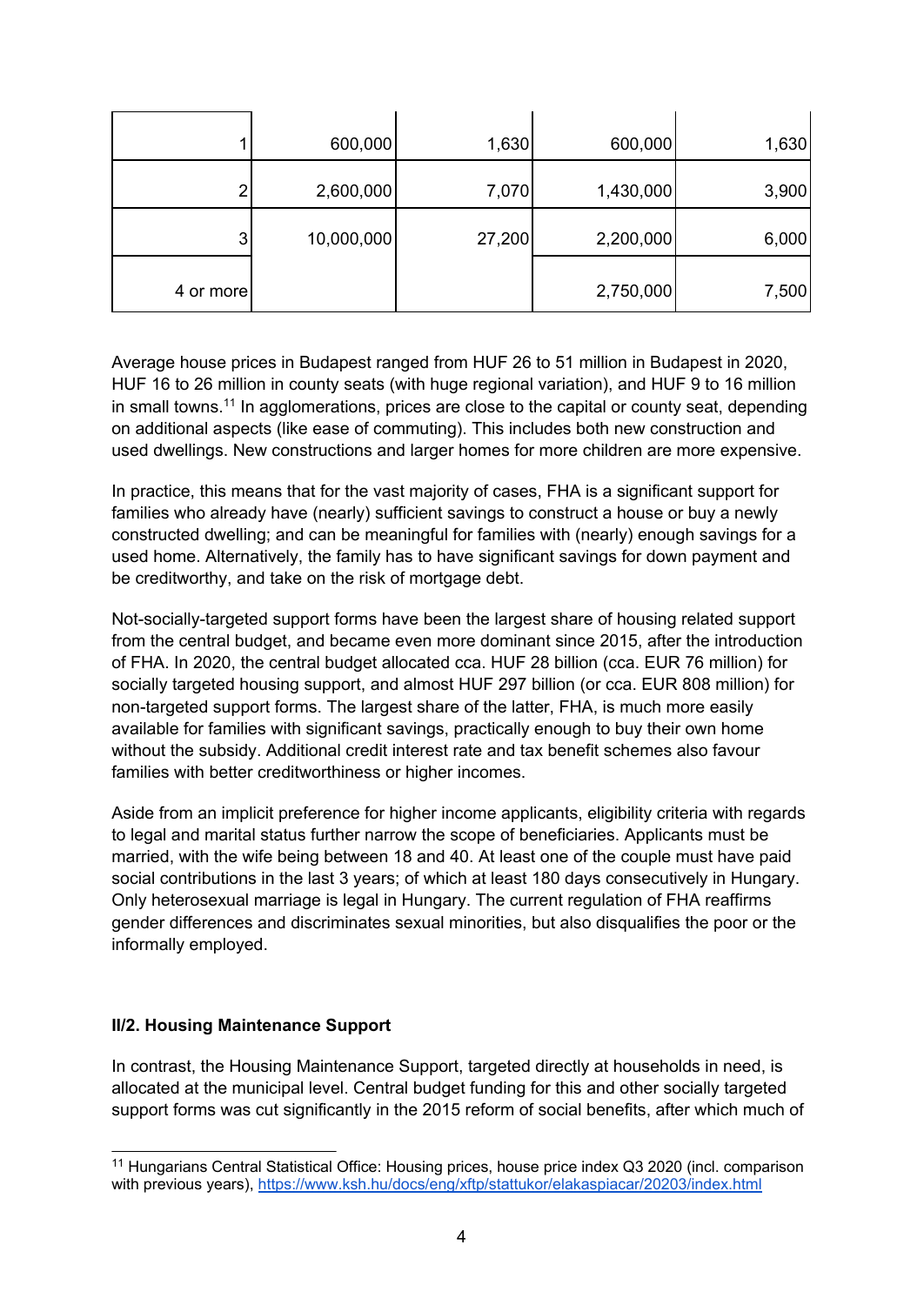|           | 600,000    | 1,630  | 600,000   | 1,630 |
|-----------|------------|--------|-----------|-------|
| っ         | 2,600,000  | 7,070  | 1,430,000 | 3,900 |
| 3         | 10,000,000 | 27,200 | 2,200,000 | 6,000 |
| 4 or more |            |        | 2,750,000 | 7,500 |

Average house prices in Budapest ranged from HUF 26 to 51 million in Budapest in 2020, HUF 16 to 26 million in county seats (with huge regional variation), and HUF 9 to 16 million in small towns.<sup>11</sup> In agglomerations, prices are close to the capital or county seat, depending on additional aspects (like ease of commuting). This includes both new construction and used dwellings. New constructions and larger homes for more children are more expensive.

In practice, this means that for the vast majority of cases, FHA is <sup>a</sup> significant support for families who already have (nearly) sufficient savings to construct <sup>a</sup> house or buy <sup>a</sup> newly constructed dwelling; and can be meaningful for families with (nearly) enough savings for <sup>a</sup> used home. Alternatively, the family has to have significant savings for down payment and be creditworthy, and take on the risk of mortgage debt.

Not-socially-targeted support forms have been the largest share of housing related support from the central budget, and became even more dominant since 2015, after the introduction of FHA. In 2020, the central budget allocated cca. HUF 28 billion (cca. EUR 76 million) for socially targeted housing support, and almost HUF 297 billion (or cca. EUR 808 million) for non-targeted support forms. The largest share of the latter, FHA, is much more easily available for families with significant savings, practically enough to buy their own home without the subsidy. Additional credit interest rate and tax benefit schemes also favour families with better creditworthiness or higher incomes.

Aside from an implicit preference for higher income applicants, eligibility criteria with regards to legal and marital status further narrow the scope of beneficiaries. Applicants must be married, with the wife being between 18 and 40. At least one of the couple must have paid social contributions in the last 3 years; of which at least 180 days consecutively in Hungary. Only heterosexual marriage is legal in Hungary. The current regulation of FHA reaffirms gender differences and discriminates sexual minorities, but also disqualifies the poor or the informally employed.

#### **II/2. Housing Maintenance Support**

In contrast, the Housing Maintenance Support, targeted directly at households in need, is allocated at the municipal level. Central budget funding for this and other socially targeted support forms was cut significantly in the 2015 reform of social benefits, after which much of

<sup>11</sup> Hungarians Central Statistical Office: Housing prices, house price index Q3 <sup>2020</sup> (incl. comparison with previous years), <https://www.ksh.hu/docs/eng/xftp/stattukor/elakaspiacar/20203/index.html>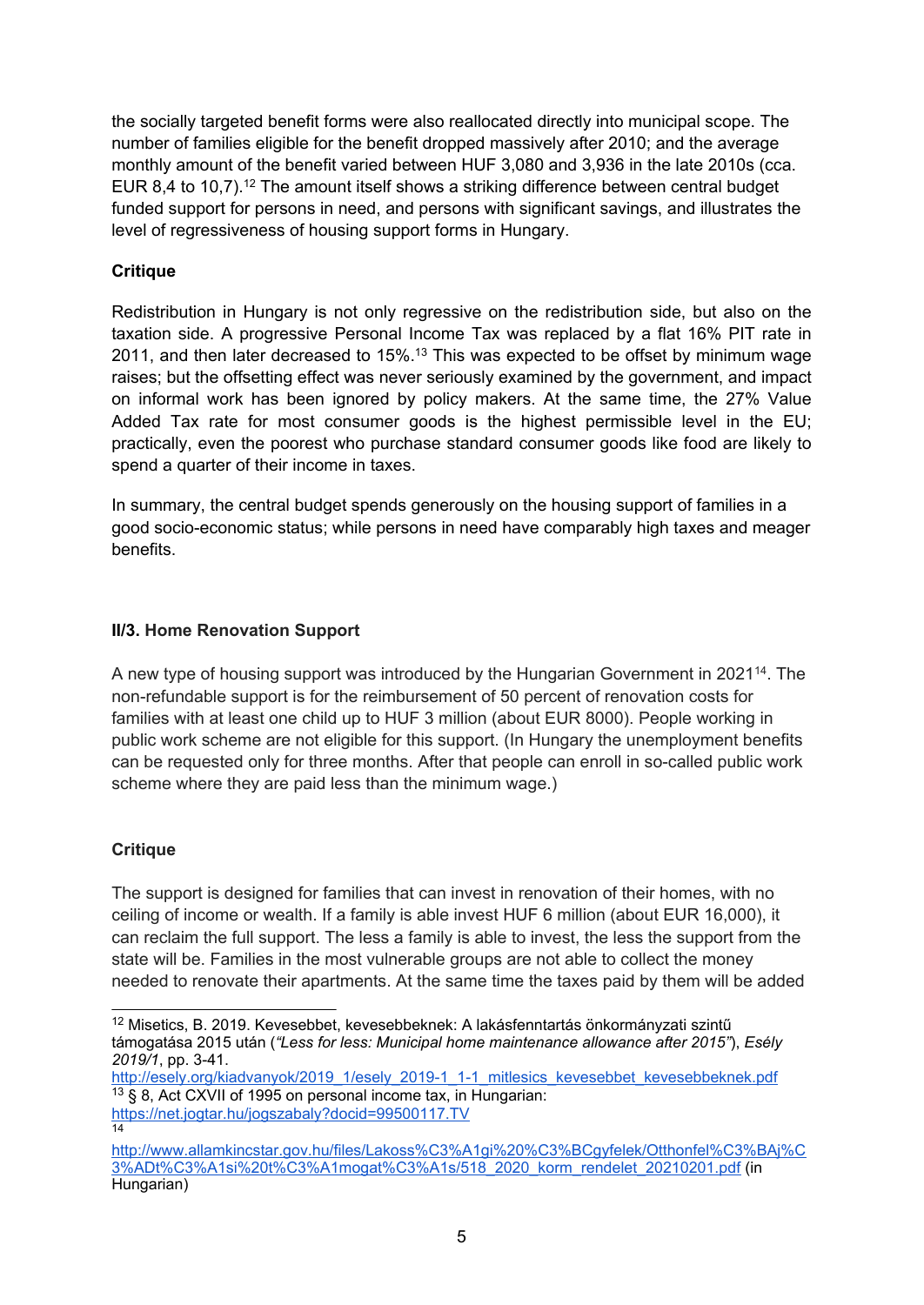the socially targeted benefit forms were also reallocated directly into municipal scope. The number of families eligible for the benefit dropped massively after 2010; and the average monthly amount of the benefit varied between HUF 3,080 and 3,936 in the late 2010s (cca. EUR 8,4 to 10,7). $^{\rm 12}$  The amount itself shows a striking difference between central budget funded support for persons in need, and persons with significant savings, and illustrates the level of regressiveness of housing support forms in Hungary.

## **Critique**

Redistribution in Hungary is not only regressive on the redistribution side, but also on the taxation side. A progressive Personal Income Tax was replaced by <sup>a</sup> flat 16% PIT rate in 2011, and then later decreased to 15%.<sup>13</sup> This was expected to be offset by minimum wage raises; but the offsetting effect was never seriously examined by the government, and impact on informal work has been ignored by policy makers. At the same time, the 27% Value Added Tax rate for most consumer goods is the highest permissible level in the EU; practically, even the poorest who purchase standard consumer goods like food are likely to spend <sup>a</sup> quarter of their income in taxes.

In summary, the central budget spends generously on the housing support of families in <sup>a</sup> good socio-economic status; while persons in need have comparably high taxes and meager benefits.

## **II/3. Home Renovation Support**

A new type of housing support was introduced by the Hungarian Government in 2021<sup>14</sup>. The non-refundable support is for the reimbursement of 50 percent of renovation costs for families with at least one child up to HUF 3 million (about EUR 8000). People working in public work scheme are not eligible for this support. (In Hungary the unemployment benefits can be requested only for three months. After that people can enroll in so-called public work scheme where they are paid less than the minimum wage.)

#### **Critique**

14

The support is designed for families that can invest in renovation of their homes, with no ceiling of income or wealth. If <sup>a</sup> family is able invest HUF 6 million (about EUR 16,000), it can reclaim the full support. The less <sup>a</sup> family is able to invest, the less the support from the state will be. Families in the most vulnerable groups are not able to collect the money needed to renovate their apartments. At the same time the taxes paid by them will be added

<sup>12</sup> Misetics, B. 2019. Kevesebbet, kevesebbeknek: <sup>A</sup> lakásfenntartás önkormányzati szint<sup>ű</sup> támogatása 2015 után (*"Less for less: Municipal home maintenance allowance after 2015"*), *Esély 2019/1*, pp. 3-41.

[http://esely.org/kiadvanyok/2019\\_1/esely\\_2019-1\\_1-1\\_mitlesics\\_kevesebbet\\_kevesebbeknek.pdf](http://esely.org/kiadvanyok/2019_1/esely_2019-1_1-1_mitlesics_kevesebbet_kevesebbeknek.pdf) <sup>13</sup> § 8, Act CXVII of 1995 on personal income tax, in Hungarian: <https://net.jogtar.hu/jogszabaly?docid=99500117.TV>

[http://www.allamkincstar.gov.hu/files/Lakoss%C3%A1gi%20%C3%BCgyfelek/Otthonfel%C3%BAj%C](http://www.allamkincstar.gov.hu/files/Lakoss%C3%A1gi%20%C3%BCgyfelek/Otthonfel%C3%BAj%C3%ADt%C3%A1si%20t%C3%A1mogat%C3%A1s/518_2020_korm_rendelet_20210201.pdf) [3%ADt%C3%A1si%20t%C3%A1mogat%C3%A1s/518\\_2020\\_korm\\_rendelet\\_20210201.pdf](http://www.allamkincstar.gov.hu/files/Lakoss%C3%A1gi%20%C3%BCgyfelek/Otthonfel%C3%BAj%C3%ADt%C3%A1si%20t%C3%A1mogat%C3%A1s/518_2020_korm_rendelet_20210201.pdf) (in Hungarian)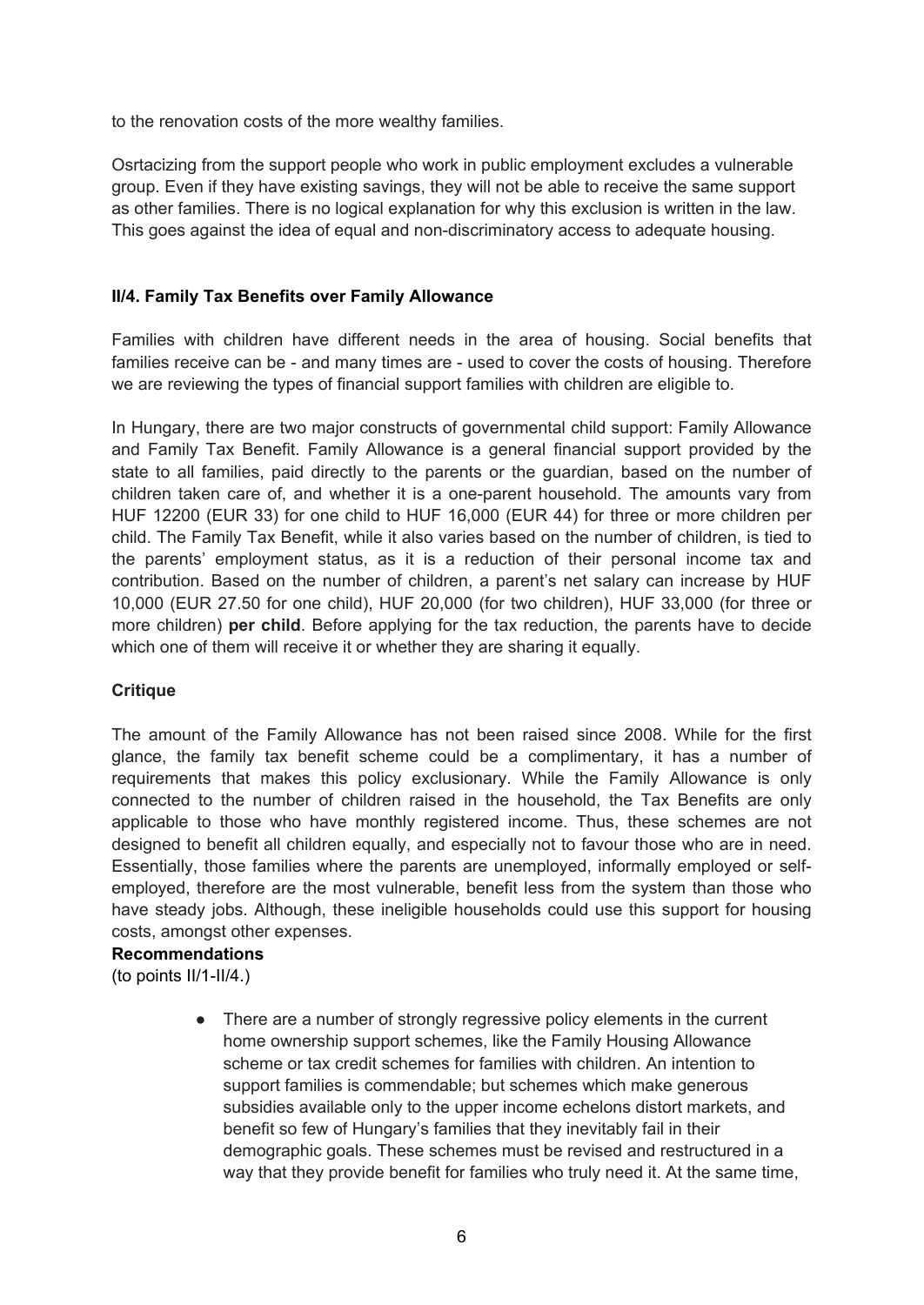to the renovation costs of the more wealthy families.

Osrtacizing from the support people who work in public employment excludes <sup>a</sup> vulnerable group. Even if they have existing savings, they will not be able to receive the same support as other families. There is no logical explanation for why this exclusion is written in the law. This goes against the idea of equal and non-discriminatory access to adequate housing.

## **II/4. Family Tax Benefits over Family Allowance**

Families with children have different needs in the area of housing. Social benefits that families receive can be - and many times are - used to cover the costs of housing. Therefore we are reviewing the types of financial support families with children are eligible to.

In Hungary, there are two major constructs of governmental child support: Family Allowance and Family Tax Benefit. Family Allowance is <sup>a</sup> general financial support provided by the state to all families, paid directly to the parents or the guardian, based on the number of children taken care of, and whether it is <sup>a</sup> one-parent household. The amounts vary from HUF 12200 (EUR 33) for one child to HUF 16,000 (EUR 44) for three or more children per child. The Family Tax Benefit, while it also varies based on the number of children, is tied to the parents' employment status, as it is <sup>a</sup> reduction of their personal income tax and contribution. Based on the number of children, <sup>a</sup> parent'<sup>s</sup> net salary can increase by HUF 10,000 (EUR 27.50 for one child), HUF 20,000 (for two children), HUF 33,000 (for three or more children) **per child**. Before applying for the tax reduction, the parents have to decide which one of them will receive it or whether they are sharing it equally.

## **Critique**

The amount of the Family Allowance has not been raised since 2008. While for the first glance, the family tax benefit scheme could be <sup>a</sup> complimentary, it has <sup>a</sup> number of requirements that makes this policy exclusionary. While the Family Allowance is only connected to the number of children raised in the household, the Tax Benefits are only applicable to those who have monthly registered income. Thus, these schemes are not designed to benefit all children equally, and especially not to favour those who are in need. Essentially, those families where the parents are unemployed, informally employed or selfemployed, therefore are the most vulnerable, benefit less from the system than those who have steady jobs. Although, these ineligible households could use this support for housing costs, amongst other expenses.

#### **Recommendations**

(to points II/1-II/4.)

● There are <sup>a</sup> number of strongly regressive policy elements in the current home ownership support schemes, like the Family Housing Allowance scheme or tax credit schemes for families with children. An intention to support families is commendable; but schemes which make generous subsidies available only to the upper income echelons distort markets, and benefit so few of Hungary'<sup>s</sup> families that they inevitably fail in their demographic goals. These schemes must be revised and restructured in <sup>a</sup> way that they provide benefit for families who truly need it. At the same time,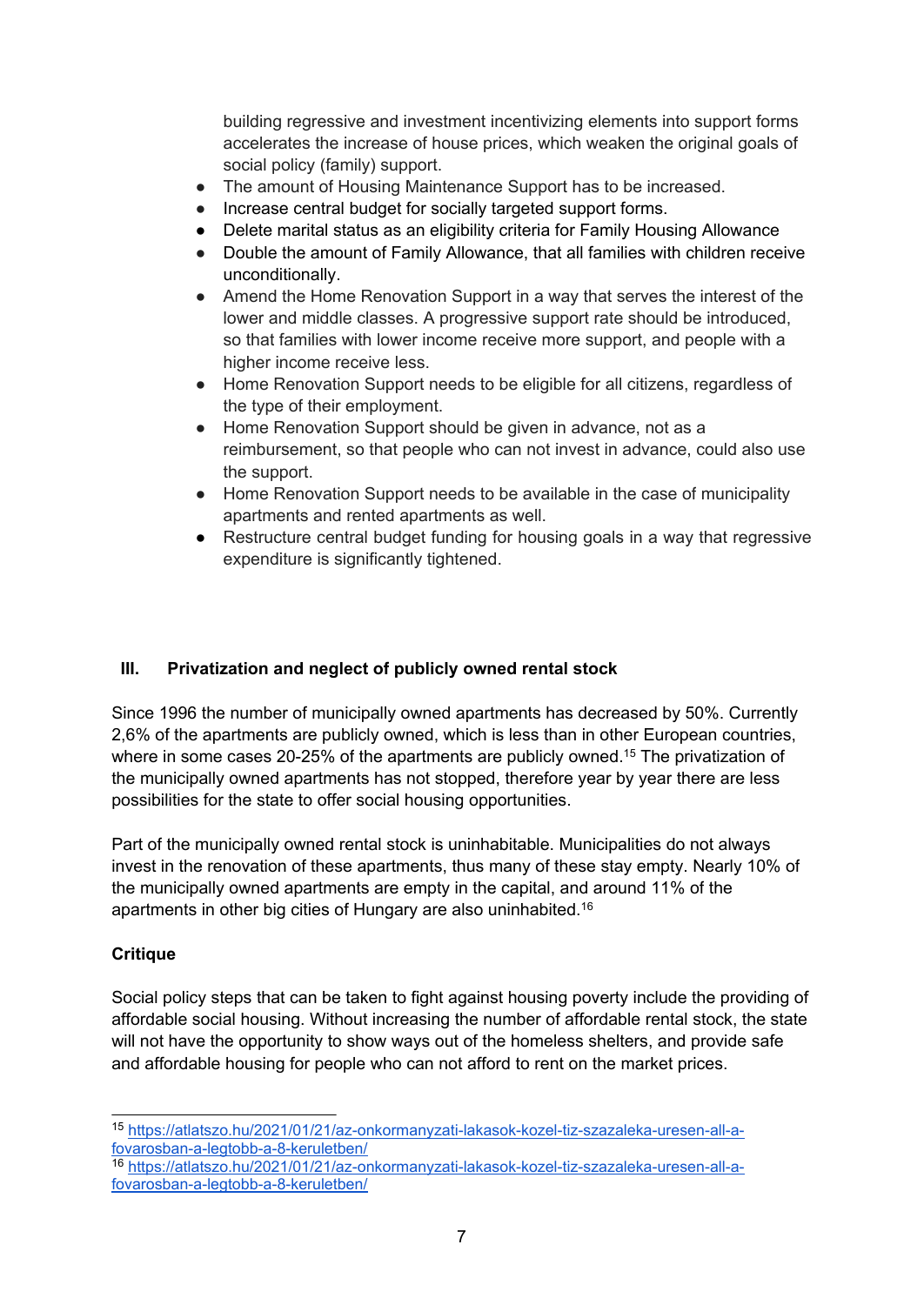building regressive and investment incentivizing elements into support forms accelerates the increase of house prices, which weaken the original goals of social policy (family) support.

- ●The amount of Housing Maintenance Support has to be increased.
- ●Increase central budget for socially targeted support forms.
- ●Delete marital status as an eligibility criteria for Family Housing Allowance
- ● Double the amount of Family Allowance, that all families with children receive unconditionally.
- ● Amend the Home Renovation Support in <sup>a</sup> way that serves the interest of the lower and middle classes. A progressive support rate should be introduced, so that families with lower income receive more support, and people with <sup>a</sup> higher income receive less.
- Home Renovation Support needs to be eligible for all citizens, regardless of the type of their employment.
	- ● Home Renovation Support should be given in advance, not as <sup>a</sup> reimbursement, so that people who can not invest in advance, could also use the support.
- $\bullet$  Home Renovation Support needs to be available in the case of municipality apartments and rented apartments as well.
	- ● Restructure central budget funding for housing goals in <sup>a</sup> way that regressive expenditure is significantly tightened.

# **III. Privatization and neglect of publicly owned rental stock**

Since 1996 the number of municipally owned apartments has decreased by 50%. Currently 2,6% of the apartments are publicly owned, which is less than in other European countries, where in some cases 20-25% of the apartments are publicly owned.<sup>15</sup> The privatization of the municipally owned apartments has not stopped, therefore year by year there are less possibilities for the state to offer social housing opportunities.

Part of the municipally owned rental stock is uninhabitable. Municipalities do not always invest in the renovation of these apartments, thus many of these stay empty. Nearly 10% of the municipally owned apartments are empty in the capital, and around 11% of the apartments in other big cities of Hungary are also uninhabited.<sup>16</sup>

# **Critique**

Social policy steps that can be taken to fight against housing poverty include the providing of affordable social housing. Without increasing the number of affordable rental stock, the state will not have the opportunity to show ways out of the homeless shelters, and provide safe and affordable housing for people who can not afford to rent on the market prices.

<sup>15</sup> [https://atlatszo.hu/2021/01/21/az-onkormanyzati-lakasok-kozel-tiz-szazaleka-uresen-all-a](https://atlatszo.hu/2021/01/21/az-onkormanyzati-lakasok-kozel-tiz-szazaleka-uresen-all-a-fovarosban-a-legtobb-a-8-keruletben/)[fovarosban-a-legtobb-a-8-keruletben/](https://atlatszo.hu/2021/01/21/az-onkormanyzati-lakasok-kozel-tiz-szazaleka-uresen-all-a-fovarosban-a-legtobb-a-8-keruletben/)

<sup>16</sup> [https://atlatszo.hu/2021/01/21/az-onkormanyzati-lakasok-kozel-tiz-szazaleka-uresen-all-a](https://atlatszo.hu/2021/01/21/az-onkormanyzati-lakasok-kozel-tiz-szazaleka-uresen-all-a-fovarosban-a-legtobb-a-8-keruletben/)[fovarosban-a-legtobb-a-8-keruletben/](https://atlatszo.hu/2021/01/21/az-onkormanyzati-lakasok-kozel-tiz-szazaleka-uresen-all-a-fovarosban-a-legtobb-a-8-keruletben/)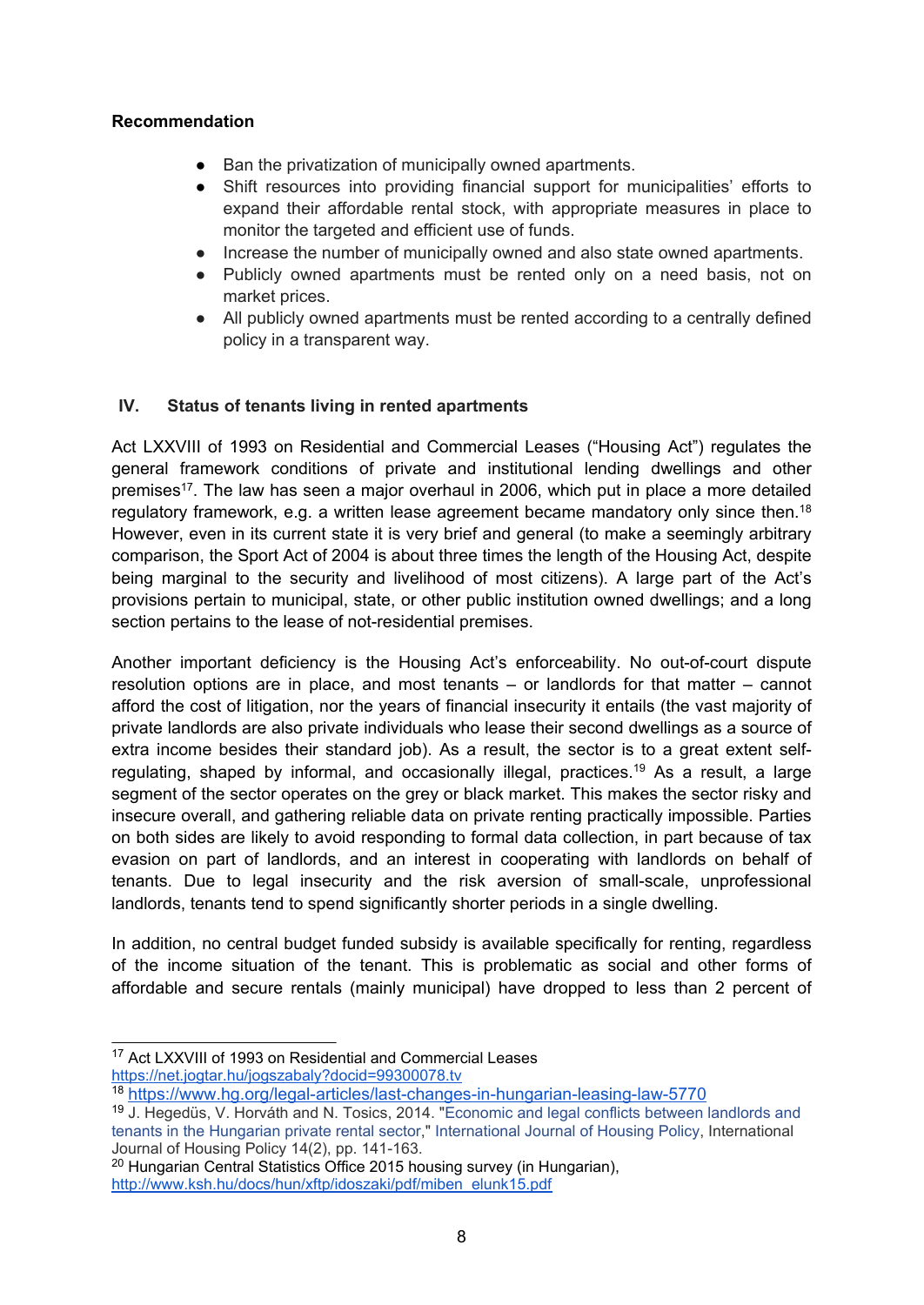#### **Recommendation**

- ●Ban the privatization of municipally owned apartments.
- ● Shift resources into providing financial support for municipalities' efforts to expand their affordable rental stock, with appropriate measures in place to monitor the targeted and efficient use of funds.
- ●Increase the number of municipally owned and also state owned apartments.
- ● Publicly owned apartments must be rented only on <sup>a</sup> need basis, not on market prices.
- All publicly owned apartments must be rented according to <sup>a</sup> centrally defined policy in <sup>a</sup> transparent way.

#### **IV. Status of tenants living in rented apartments**

Act LXXVIII of 1993 on Residential and Commercial Leases ("Housing Act") regulates the general framework conditions of private and institutional lending dwellings and other premises<sup>17</sup>. The law has seen a major overhaul in 2006, which put in place a more detailed regulatory framework, e.g. <sup>a</sup> written lease agreement became mandatory only since then. 18 However, even in its current state it is very brief and general (to make <sup>a</sup> seemingly arbitrary comparison, the Sport Act of 2004 is about three times the length of the Housing Act, despite being marginal to the security and livelihood of most citizens). A large part of the Act'<sup>s</sup> provisions pertain to municipal, state, or other public institution owned dwellings; and <sup>a</sup> long section pertains to the lease of not-residential premises.

Another important deficiency is the Housing Act'<sup>s</sup> enforceability. No out-of-court dispute resolution options are in place, and most tenants – or landlords for that matter – cannot afford the cost of litigation, nor the years of financial insecurity it entails (the vast majority of private landlords are also private individuals who lease their second dwellings as <sup>a</sup> source of extra income besides their standard job). As <sup>a</sup> result, the sector is to <sup>a</sup> great extent selfregulating, shaped by informal, and occasionally illegal, practices. <sup>19</sup> As <sup>a</sup> result, <sup>a</sup> large segment of the sector operates on the grey or black market. This makes the sector risky and insecure overall, and gathering reliable data on private renting practically impossible. Parties on both sides are likely to avoid responding to formal data collection, in part because of tax evasion on part of landlords, and an interest in cooperating with landlords on behalf of tenants. Due to legal insecurity and the risk aversion of small-scale, unprofessional landlords, tenants tend to spend significantly shorter periods in <sup>a</sup> single dwelling.

In addition, no central budget funded subsidy is available specifically for renting, regardless of the income situation of the tenant. This is problematic as social and other forms of affordable and secure rentals (mainly municipal) have dropped to less than 2 percent of

<sup>17</sup> Act LXXVIII of 1993 on Residential and Commercial Leases <https://net.jogtar.hu/jogszabaly?docid=99300078.tv>

<sup>18</sup> <https://www.hg.org/legal-articles/last-changes-in-hungarian-leasing-law-5770>

<sup>&</sup>lt;sup>19</sup> J. Hegedüs, V. Horváth and N. Tosics, 2014. "[Economic](https://ideas.repec.org/a/taf/intjhp/v14y2014i2p141-163.html) and legal conflicts between landlords and tenants in the [Hungarian](https://ideas.repec.org/a/taf/intjhp/v14y2014i2p141-163.html) private rental sector," [International](https://ideas.repec.org/s/taf/intjhp.html) Journal of Housing Policy, International Journal of Housing Policy 14(2), pp. 141-163.

<sup>20</sup> Hungarian Central Statistics Office <sup>2015</sup> housing survey (in Hungarian), [http://www.ksh.hu/docs/hun/xftp/idoszaki/pdf/miben\\_elunk15.pdf](http://www.ksh.hu/docs/hun/xftp/idoszaki/pdf/miben_elunk15.pdf)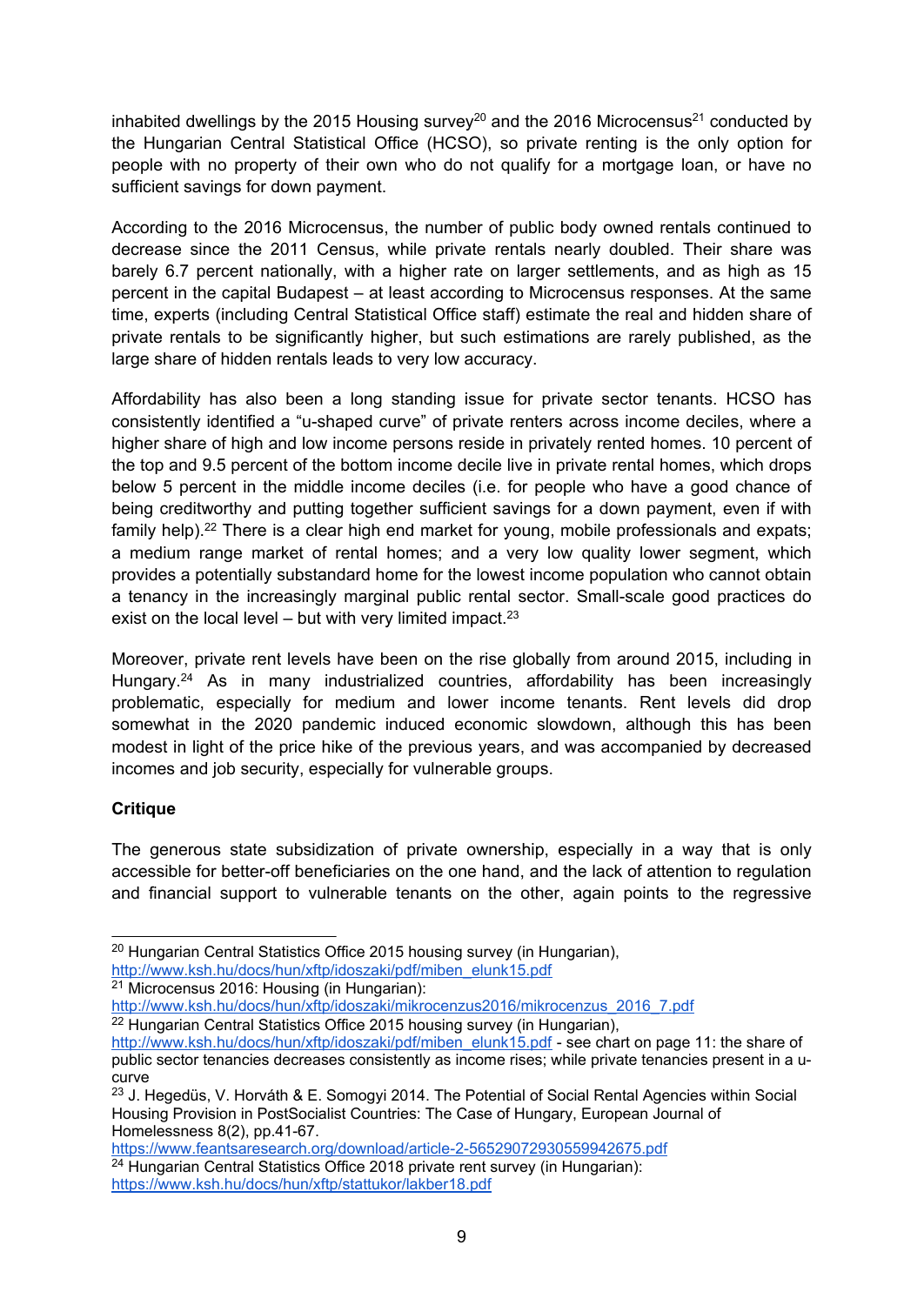inhabited dwellings by the 2015 Housing survey $^{\rm 20}$  and the 2016 Microcensus $^{\rm 21}$  conducted by the Hungarian Central Statistical Office (HCSO), so private renting is the only option for people with no property of their own who do not qualify for <sup>a</sup> mortgage loan, or have no sufficient savings for down payment.

According to the 2016 Microcensus, the number of public body owned rentals continued to decrease since the 2011 Census, while private rentals nearly doubled. Their share was barely 6.7 percent nationally, with <sup>a</sup> higher rate on larger settlements, and as high as 15 percent in the capital Budapest – at least according to Microcensus responses. At the same time, experts (including Central Statistical Office staff) estimate the real and hidden share of private rentals to be significantly higher, but such estimations are rarely published, as the large share of hidden rentals leads to very low accuracy.

Affordability has also been <sup>a</sup> long standing issue for private sector tenants. HCSO has consistently identified <sup>a</sup> "u-shaped curve" of private renters across income deciles, where <sup>a</sup> higher share of high and low income persons reside in privately rented homes. 10 percent of the top and 9.5 percent of the bottom income decile live in private rental homes, which drops below 5 percent in the middle income deciles (i.e. for people who have <sup>a</sup> good chance of being creditworthy and putting together sufficient savings for <sup>a</sup> down payment, even if with family help).<sup>22</sup> There is a clear high end market for young, mobile professionals and expats; <sup>a</sup> medium range market of rental homes; and <sup>a</sup> very low quality lower segment, which provides <sup>a</sup> potentially substandard home for the lowest income population who cannot obtain <sup>a</sup> tenancy in the increasingly marginal public rental sector. Small-scale good practices do exist on the local level – but with very limited impact. $^{23}$ 

Moreover, private rent levels have been on the rise globally from around 2015, including in Hungary. <sup>24</sup> As in many industrialized countries, affordability has been increasingly problematic, especially for medium and lower income tenants. Rent levels did drop somewhat in the 2020 pandemic induced economic slowdown, although this has been modest in light of the price hike of the previous years, and was accompanied by decreased incomes and job security, especially for vulnerable groups.

## **Critique**

The generous state subsidization of private ownership, especially in <sup>a</sup> way that is only accessible for better-off beneficiaries on the one hand, and the lack of attention to regulation and financial support to vulnerable tenants on the other, again points to the regressive

<sup>20</sup> Hungarian Central Statistics Office <sup>2015</sup> housing survey (in Hungarian), [http://www.ksh.hu/docs/hun/xftp/idoszaki/pdf/miben\\_elunk15.pdf](http://www.ksh.hu/docs/hun/xftp/idoszaki/pdf/miben_elunk15.pdf)

<sup>21</sup> Microcensus 2016: Housing (in Hungarian):

[http://www.ksh.hu/docs/hun/xftp/idoszaki/mikrocenzus2016/mikrocenzus\\_2016\\_7.pdf](http://www.ksh.hu/docs/hun/xftp/idoszaki/mikrocenzus2016/mikrocenzus_2016_7.pdf) <sup>22</sup> Hungarian Central Statistics Office 2015 housing survey (in Hungarian),

[http://www.ksh.hu/docs/hun/xftp/idoszaki/pdf/miben\\_elunk15.pdf](http://www.ksh.hu/docs/hun/xftp/idoszaki/pdf/miben_elunk15.pdf) - see chart on page 11: the share of public sector tenancies decreases consistently as income rises; while private tenancies present in <sup>a</sup> ucurve

 $^{23}$  J. Hegedüs, V. Horváth & E. Somogyi 2014. The Potential of Social Rental Agencies within Social Housing Provision in PostSocialist Countries: The Case of Hungary, European Journal of Homelessness 8(2), pp.41-67.

<https://www.feantsaresearch.org/download/article-2-56529072930559942675.pdf> <sup>24</sup> Hungarian Central Statistics Office 2018 private rent survey (in Hungarian): <https://www.ksh.hu/docs/hun/xftp/stattukor/lakber18.pdf>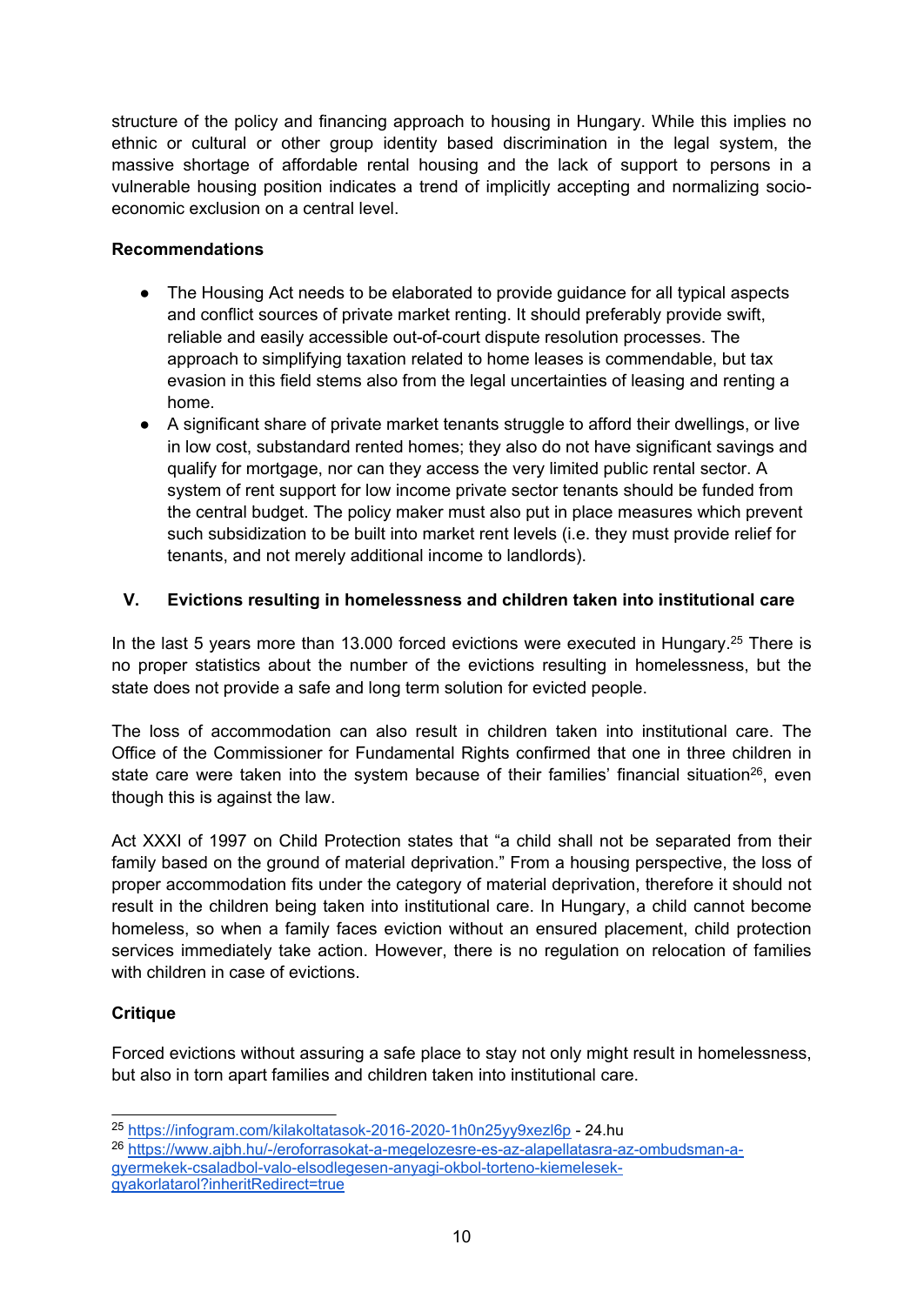structure of the policy and financing approach to housing in Hungary. While this implies no ethnic or cultural or other group identity based discrimination in the legal system, the massive shortage of affordable rental housing and the lack of support to persons in <sup>a</sup> vulnerable housing position indicates <sup>a</sup> trend of implicitly accepting and normalizing socioeconomic exclusion on a central level.

## **Recommendations**

- $\bullet$  The Housing Act needs to be elaborated to provide guidance for all typical aspects and conflict sources of private market renting. It should preferably provide swift, reliable and easily accessible out-of-court dispute resolution processes. The approach to simplifying taxation related to home leases is commendable, but tax evasion in this field stems also from the legal uncertainties of leasing and renting <sup>a</sup> home.
- A significant share of private market tenants struggle to afford their dwellings, or live in low cost, substandard rented homes; they also do not have significant savings and qualify for mortgage, nor can they access the very limited public rental sector. A system of rent support for low income private sector tenants should be funded from the central budget. The policy maker must also put in place measures which prevent such subsidization to be built into market rent levels (i.e. they must provide relief for tenants, and not merely additional income to landlords).

## **V. Evictions resulting in homelessness and children taken into institutional care**

In the last 5 years more than 13.000 forced evictions were executed in Hungary.<sup>25</sup> There is no proper statistics about the number of the evictions resulting in homelessness, but the state does not provide <sup>a</sup> safe and long term solution for evicted people.

The loss of accommodation can also result in children taken into institutional care. The Office of the Commissioner for Fundamental Rights confirmed that one in three children in state care were taken into the system because of their families' financial situation $^{26}$ , even though this is against the law.

Act XXXI of 1997 on Child Protection states that "<sup>a</sup> child shall not be separated from their family based on the ground of material deprivation." From <sup>a</sup> housing perspective, the loss of proper accommodation fits under the category of material deprivation, therefore it should not result in the children being taken into institutional care. In Hungary, <sup>a</sup> child cannot become homeless, so when <sup>a</sup> family faces eviction without an ensured placement, child protection services immediately take action. However, there is no regulation on relocation of families with children in case of evictions.

## **Critique**

Forced evictions without assuring <sup>a</sup> safe place to stay not only might result in homelessness, but also in torn apart families and children taken into institutional care.

<sup>&</sup>lt;sup>25</sup> <u><https://infogram.com/kilakoltatasok-2016-2020-1h0n25yy9xezl6p></u> - 24.hu

<sup>&</sup>lt;sup>26</sup> <u>https://www.ajbh.hu/-/eroforrasokat-a-megelozesre-es-az-alapellatasra-az-ombudsman-a-</u> [gyermekek-csaladbol-valo-elsodlegesen-anyagi-okbol-torteno-kiemelesek](https://www.ajbh.hu/-/eroforrasokat-a-megelozesre-es-az-alapellatasra-az-ombudsman-a-gyermekek-csaladbol-valo-elsodlegesen-anyagi-okbol-torteno-kiemelesek-gyakorlatarol?inheritRedirect=true)[gyakorlatarol?inheritRedirect=true](https://www.ajbh.hu/-/eroforrasokat-a-megelozesre-es-az-alapellatasra-az-ombudsman-a-gyermekek-csaladbol-valo-elsodlegesen-anyagi-okbol-torteno-kiemelesek-gyakorlatarol?inheritRedirect=true)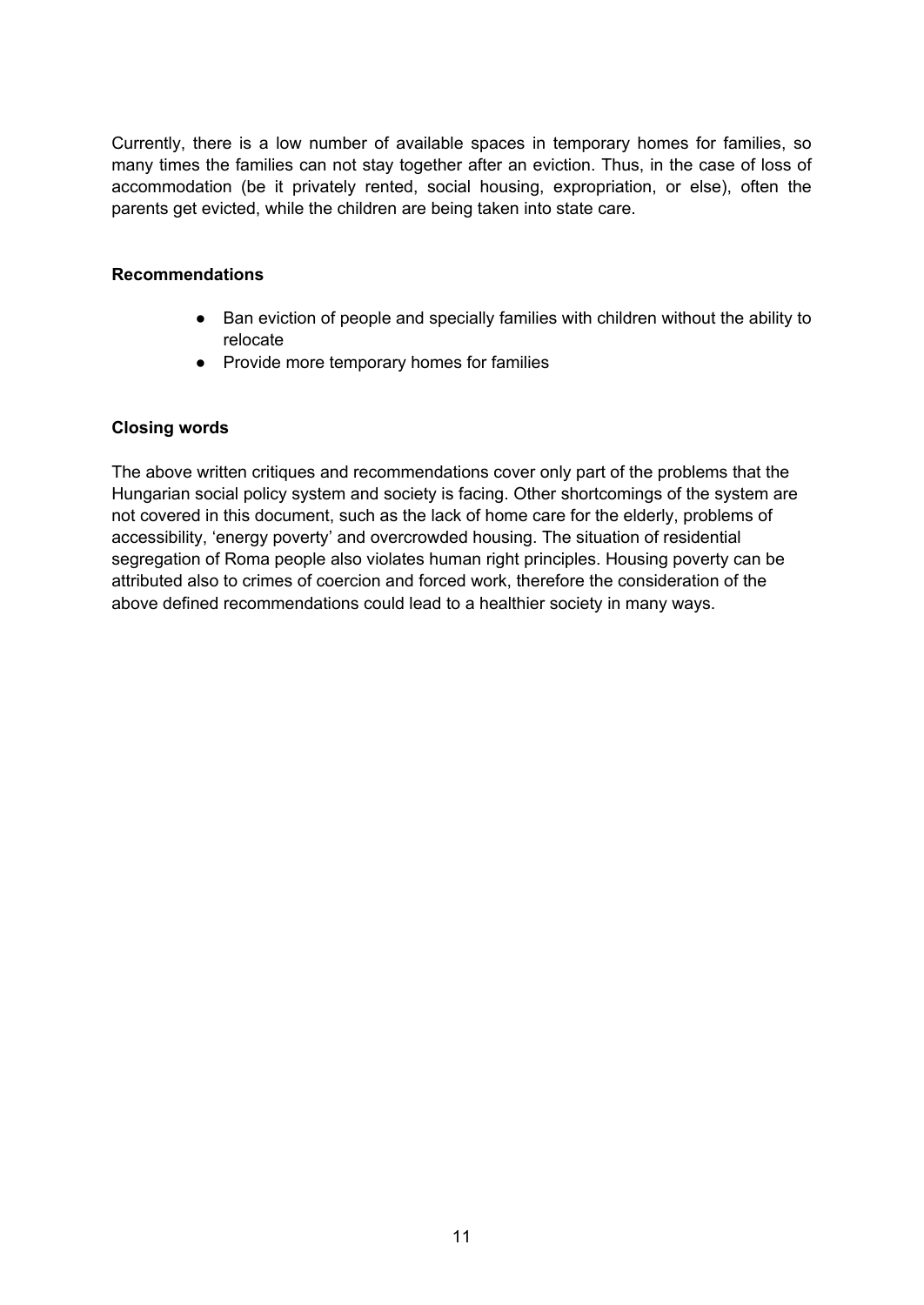Currently, there is <sup>a</sup> low number of available spaces in temporary homes for families, so many times the families can not stay together after an eviction. Thus, in the case of loss of accommodation (be it privately rented, social housing, expropriation, or else), often the parents get evicted, while the children are being taken into state care.

#### **Recommendations**

- $\bullet$  Ban eviction of people and specially families with children without the ability to relocate
- Provide more temporary homes for families

#### **Closing words**

The above written critiques and recommendations cover only part of the problems that the Hungarian social policy system and society is facing. Other shortcomings of the system are not covered in this document, such as the lack of home care for the elderly, problems of accessibility, 'energy poverty' and overcrowded housing. The situation of residential segregation of Roma people also violates human right principles. Housing poverty can be attributed also to crimes of coercion and forced work, therefore the consideration of the above defined recommendations could lead to <sup>a</sup> healthier society in many ways.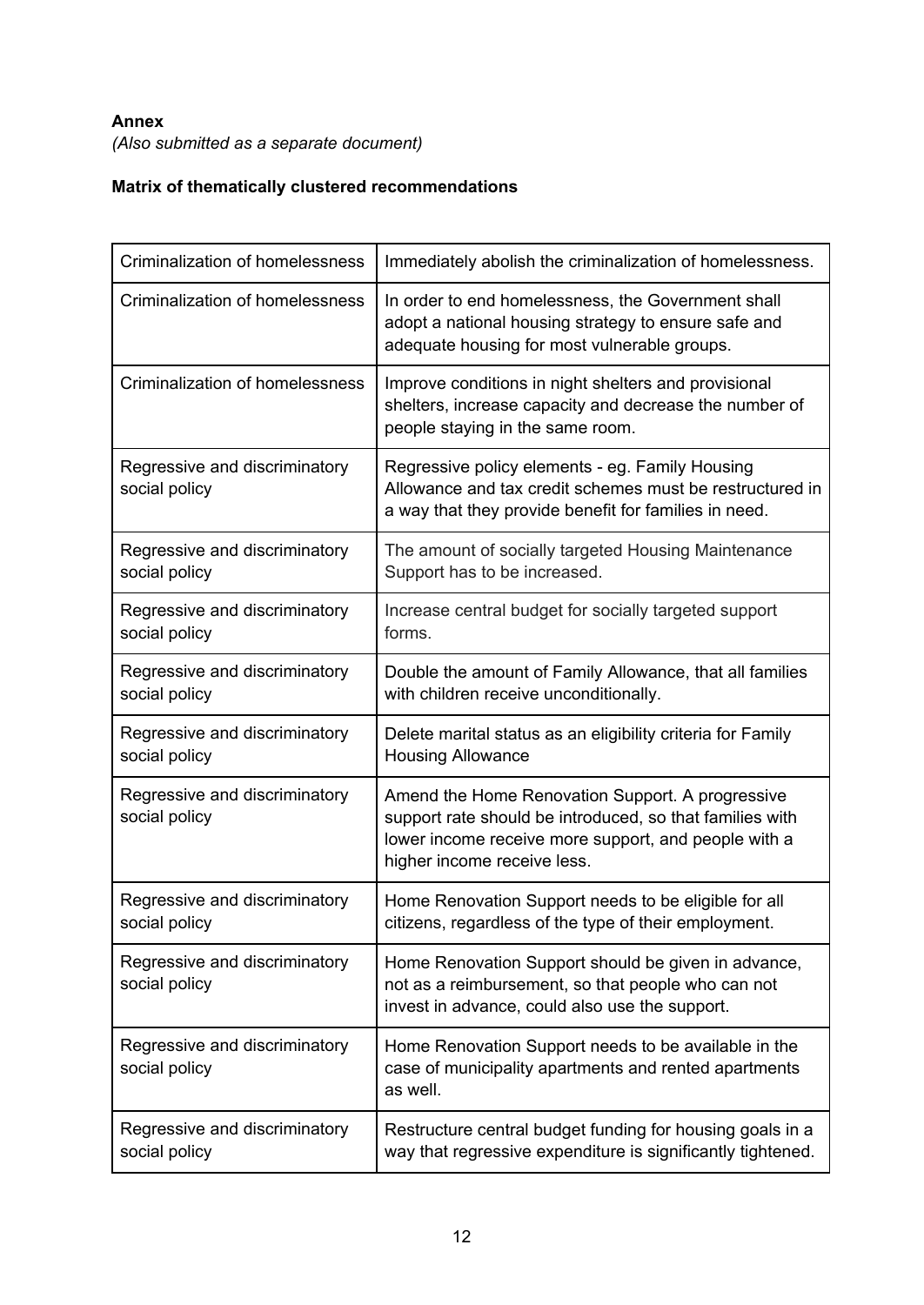# **Annex** *(Also submitted as <sup>a</sup> separate document)*

# **Matrix of thematically clustered recommendations**

| <b>Criminalization of homelessness</b>         | Immediately abolish the criminalization of homelessness.                                                                                                                                            |
|------------------------------------------------|-----------------------------------------------------------------------------------------------------------------------------------------------------------------------------------------------------|
| Criminalization of homelessness                | In order to end homelessness, the Government shall<br>adopt a national housing strategy to ensure safe and<br>adequate housing for most vulnerable groups.                                          |
| <b>Criminalization of homelessness</b>         | Improve conditions in night shelters and provisional<br>shelters, increase capacity and decrease the number of<br>people staying in the same room.                                                  |
| Regressive and discriminatory<br>social policy | Regressive policy elements - eg. Family Housing<br>Allowance and tax credit schemes must be restructured in<br>a way that they provide benefit for families in need.                                |
| Regressive and discriminatory<br>social policy | The amount of socially targeted Housing Maintenance<br>Support has to be increased.                                                                                                                 |
| Regressive and discriminatory<br>social policy | Increase central budget for socially targeted support<br>forms.                                                                                                                                     |
| Regressive and discriminatory<br>social policy | Double the amount of Family Allowance, that all families<br>with children receive unconditionally.                                                                                                  |
| Regressive and discriminatory<br>social policy | Delete marital status as an eligibility criteria for Family<br><b>Housing Allowance</b>                                                                                                             |
| Regressive and discriminatory<br>social policy | Amend the Home Renovation Support. A progressive<br>support rate should be introduced, so that families with<br>lower income receive more support, and people with a<br>higher income receive less. |
| Regressive and discriminatory<br>social policy | Home Renovation Support needs to be eligible for all<br>citizens, regardless of the type of their employment.                                                                                       |
| Regressive and discriminatory<br>social policy | Home Renovation Support should be given in advance,<br>not as a reimbursement, so that people who can not<br>invest in advance, could also use the support.                                         |
| Regressive and discriminatory<br>social policy | Home Renovation Support needs to be available in the<br>case of municipality apartments and rented apartments<br>as well.                                                                           |
| Regressive and discriminatory<br>social policy | Restructure central budget funding for housing goals in a<br>way that regressive expenditure is significantly tightened.                                                                            |